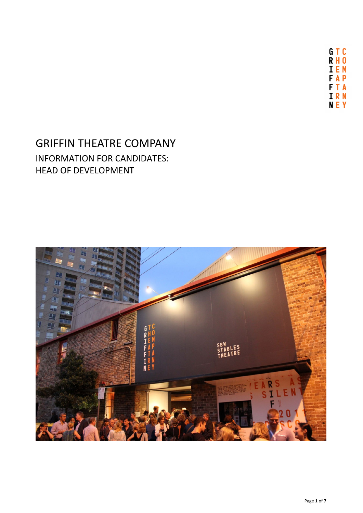GTC **RH0 IEM FAP FTA TRN NEY** 

# GRIFFIN THEATRE COMPANY INFORMATION FOR CANDIDATES: HEAD OF DEVELOPMENT

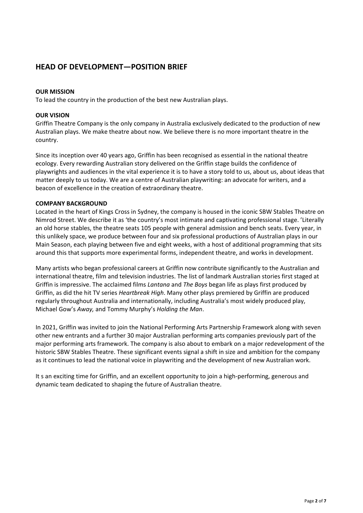# **HEAD OF DEVELOPMENT—POSITION BRIEF**

## **OUR MISSION**

To lead the country in the production of the best new Australian plays.

## **OUR VISION**

Griffin Theatre Company is the only company in Australia exclusively dedicated to the production of new Australian plays. We make theatre about now. We believe there is no more important theatre in the country.

Since its inception over 40 years ago, Griffin has been recognised as essential in the national theatre ecology. Every rewarding Australian story delivered on the Griffin stage builds the confidence of playwrights and audiences in the vital experience it is to have a story told to us, about us, about ideas that matter deeply to us today. We are a centre of Australian playwriting: an advocate for writers, and a beacon of excellence in the creation of extraordinary theatre.

## **COMPANY BACKGROUND**

Located in the heart of Kings Cross in Sydney, the company is housed in the iconic SBW Stables Theatre on Nimrod Street. We describe it as 'the country's most intimate and captivating professional stage. 'Literally an old horse stables, the theatre seats 105 people with general admission and bench seats. Every year, in this unlikely space, we produce between four and six professional productions of Australian plays in our Main Season, each playing between five and eight weeks, with a host of additional programming that sits around this that supports more experimental forms, independent theatre, and works in development.

Many artists who began professional careers at Griffin now contribute significantly to the Australian and international theatre, film and television industries. The list of landmark Australian stories first staged at Griffin is impressive. The acclaimed films *Lantana* and *The Boys* began life as plays first produced by Griffin, as did the hit TV series *Heartbreak High*. Many other plays premiered by Griffin are produced regularly throughout Australia and internationally, including Australia's most widely produced play, Michael Gow's *Away,* and Tommy Murphy's *Holding the Man*.

In 2021, Griffin was invited to join the National Performing Arts Partnership Framework along with seven other new entrants and a further 30 major Australian performing arts companies previously part of the major performing arts framework. The company is also about to embark on a major redevelopment of the historic SBW Stables Theatre. These significant events signal a shift in size and ambition for the company as it continues to lead the national voice in playwriting and the development of new Australian work.

It s an exciting time for Griffin, and an excellent opportunity to join a high-performing, generous and dynamic team dedicated to shaping the future of Australian theatre.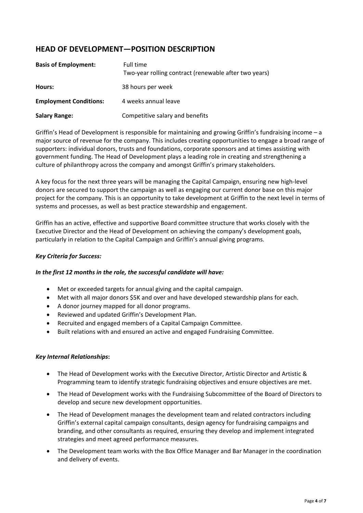# **HEAD OF DEVELOPMENT—POSITION DESCRIPTION**

| <b>Basis of Employment:</b>   | Full time<br>Two-year rolling contract (renewable after two years) |
|-------------------------------|--------------------------------------------------------------------|
| Hours:                        | 38 hours per week                                                  |
| <b>Employment Conditions:</b> | 4 weeks annual leave                                               |
| <b>Salary Range:</b>          | Competitive salary and benefits                                    |

Griffin's Head of Development is responsible for maintaining and growing Griffin's fundraising income – a major source of revenue for the company. This includes creating opportunities to engage a broad range of supporters: individual donors, trusts and foundations, corporate sponsors and at times assisting with government funding. The Head of Development plays a leading role in creating and strengthening a culture of philanthropy across the company and amongst Griffin's primary stakeholders.

A key focus for the next three years will be managing the Capital Campaign, ensuring new high-level donors are secured to support the campaign as well as engaging our current donor base on this major project for the company. This is an opportunity to take development at Griffin to the next level in terms of systems and processes, as well as best practice stewardship and engagement.

Griffin has an active, effective and supportive Board committee structure that works closely with the Executive Director and the Head of Development on achieving the company's development goals, particularly in relation to the Capital Campaign and Griffin's annual giving programs.

## *Key Criteria for Success:*

## *In the first 12 months in the role, the successful candidate will have:*

- Met or exceeded targets for annual giving and the capital campaign.
- Met with all major donors \$5K and over and have developed stewardship plans for each.
- A donor journey mapped for all donor programs.
- Reviewed and updated Griffin's Development Plan.
- Recruited and engaged members of a Capital Campaign Committee.
- Built relations with and ensured an active and engaged Fundraising Committee.

## *Key Internal Relationships***:**

- The Head of Development works with the Executive Director, Artistic Director and Artistic & Programming team to identify strategic fundraising objectives and ensure objectives are met.
- The Head of Development works with the Fundraising Subcommittee of the Board of Directors to develop and secure new development opportunities.
- The Head of Development manages the development team and related contractors including Griffin's external capital campaign consultants, design agency for fundraising campaigns and branding, and other consultants as required, ensuring they develop and implement integrated strategies and meet agreed performance measures.
- The Development team works with the Box Office Manager and Bar Manager in the coordination and delivery of events.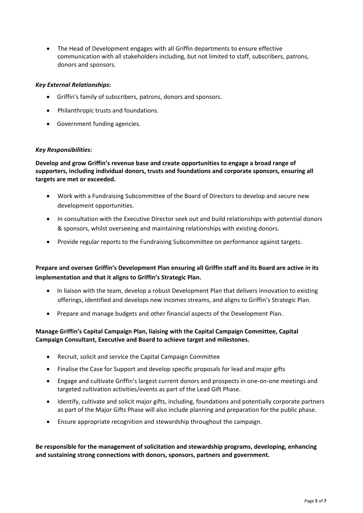• The Head of Development engages with all Griffin departments to ensure effective communication with all stakeholders including, but not limited to staff, subscribers, patrons, donors and sponsors.

## *Key External Relationships***:**

- Griffin's family of subscribers, patrons, donors and sponsors.
- Philanthropic trusts and foundations.
- Government funding agencies.

## *Key Responsibilities:*

**Develop and grow Griffin's revenue base and create opportunities to engage a broad range of supporters, including individual donors, trusts and foundations and corporate sponsors, ensuring all targets are met or exceeded.**

- Work with a Fundraising Subcommittee of the Board of Directors to develop and secure new development opportunities.
- In consultation with the Executive Director seek out and build relationships with potential donors & sponsors, whilst overseeing and maintaining relationships with existing donors.
- Provide regular reports to the Fundraising Subcommittee on performance against targets.

## **Prepare and oversee Griffin's Development Plan ensuring all Griffin staff and its Board are active in its implementation and that it aligns to Griffin's Strategic Plan.**

- In liaison with the team, develop a robust Development Plan that delivers innovation to existing offerings, identified and develops new incomes streams, and aligns to Griffin's Strategic Plan.
- Prepare and manage budgets and other financial aspects of the Development Plan.

## **Manage Griffin's Capital Campaign Plan, liaising with the Capital Campaign Committee, Capital Campaign Consultant, Executive and Board to achieve target and milestones.**

- Recruit, solicit and service the Capital Campaign Committee
- Finalise the Case for Support and develop specific proposals for lead and major gifts
- Engage and cultivate Griffin's largest current donors and prospects in one-on-one meetings and targeted cultivation activities/events as part of the Lead Gift Phase.
- Identify, cultivate and solicit major gifts, including, foundations and potentially corporate partners as part of the Major Gifts Phase will also include planning and preparation for the public phase.
- Ensure appropriate recognition and stewardship throughout the campaign.

**Be responsible for the management of solicitation and stewardship programs, developing, enhancing and sustaining strong connections with donors, sponsors, partners and government.**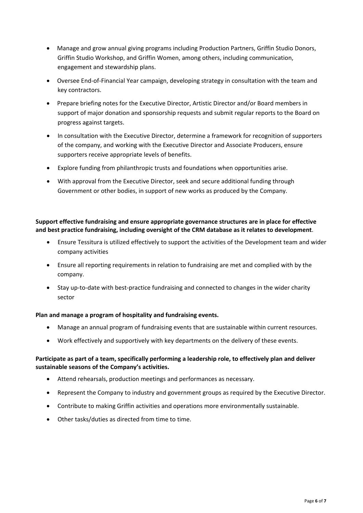- Manage and grow annual giving programs including Production Partners, Griffin Studio Donors, Griffin Studio Workshop, and Griffin Women, among others, including communication, engagement and stewardship plans.
- Oversee End-of-Financial Year campaign, developing strategy in consultation with the team and key contractors.
- Prepare briefing notes for the Executive Director, Artistic Director and/or Board members in support of major donation and sponsorship requests and submit regular reports to the Board on progress against targets.
- In consultation with the Executive Director, determine a framework for recognition of supporters of the company, and working with the Executive Director and Associate Producers, ensure supporters receive appropriate levels of benefits.
- Explore funding from philanthropic trusts and foundations when opportunities arise.
- With approval from the Executive Director, seek and secure additional funding through Government or other bodies, in support of new works as produced by the Company.

## **Support effective fundraising and ensure appropriate governance structures are in place for effective and best practice fundraising, including oversight of the CRM database as it relates to development**.

- Ensure Tessitura is utilized effectively to support the activities of the Development team and wider company activities
- Ensure all reporting requirements in relation to fundraising are met and complied with by the company.
- Stay up-to-date with best-practice fundraising and connected to changes in the wider charity sector

## **Plan and manage a program of hospitality and fundraising events.**

- Manage an annual program of fundraising events that are sustainable within current resources.
- Work effectively and supportively with key departments on the delivery of these events.

## **Participate as part of a team, specifically performing a leadership role, to effectively plan and deliver sustainable seasons of the Company's activities.**

- Attend rehearsals, production meetings and performances as necessary.
- Represent the Company to industry and government groups as required by the Executive Director.
- Contribute to making Griffin activities and operations more environmentally sustainable.
- Other tasks/duties as directed from time to time.